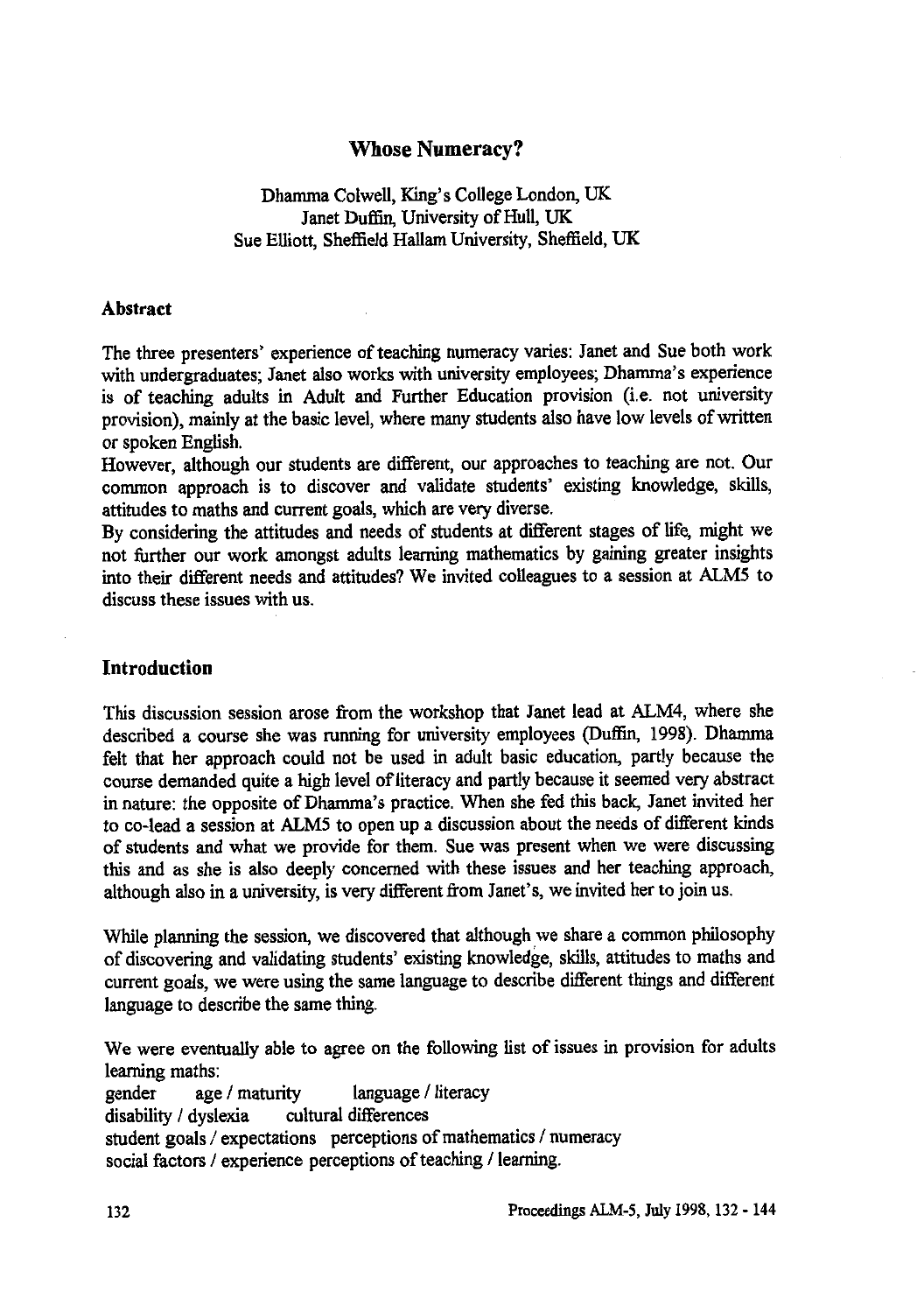# **Whose Numeracy?**

# Dhamma Colwell, King's College London, UK Janet Duffin, University of Hull, UK Sue Elliott, Sheffield Hallam University, Sheffield, UK

## **Abstract**

The three presenters' experience of teaching numeracy varies: Janet and Sue both work with undergraduates; Janet also works with university employees; Dhamma's experience is of teaching adults in Adult and Further Education provision (i.e. not university provision), mainly at the basic level, where many students also have low levels of written or spoken English.

However, although our students are different, our approaches to teaching are not. Our common approach is to discover and validate students' existing knowledge, skills, attitudes to maths and current goals, which are very diverse.

By considering the attitudes and needs of students at different stages of life, might we not further our work amongst adults learning mathematics by gaining greater insights into their different needs and attitudes? We invited colleagues to a session at ALM5 to discuss these issues with us.

## **Introduction**

This discussion session arose from the workshop that Janet lead at ALM4, where she described a course she was running for university employees (Duffin, 1998). Dhamma felt that her approach could not be used in adult basic education, partly because the course demanded quite a high level of literacy and partly because it seemed very abstract in nature: the opposite of Dhamma's practice. When she fed this back, Janet invited her to co-lead a session at ALM5 to open up a discussion about the needs of different kinds of students and what we provide for them. Sue was present when we were discussing this and as she is also deeply concerned with these issues and her teaching approach, although also in a university, is very different from Janet's, we invited her to join us.

While planning the session, we discovered that although we share a common philosophy of discovering and validating students' existing knowledge, skills, attitudes to maths and current goals, we were using the same language to describe different things and different language to describe the same thing.

We were eventually able to agree on the following list of issues in provision for adults learning maths:

gender age / maturity language / literacy disability / dyslexia cultural differences student goals / expectations perceptions of mathematics / numeracy social factors / experience perceptions of teaching / learning.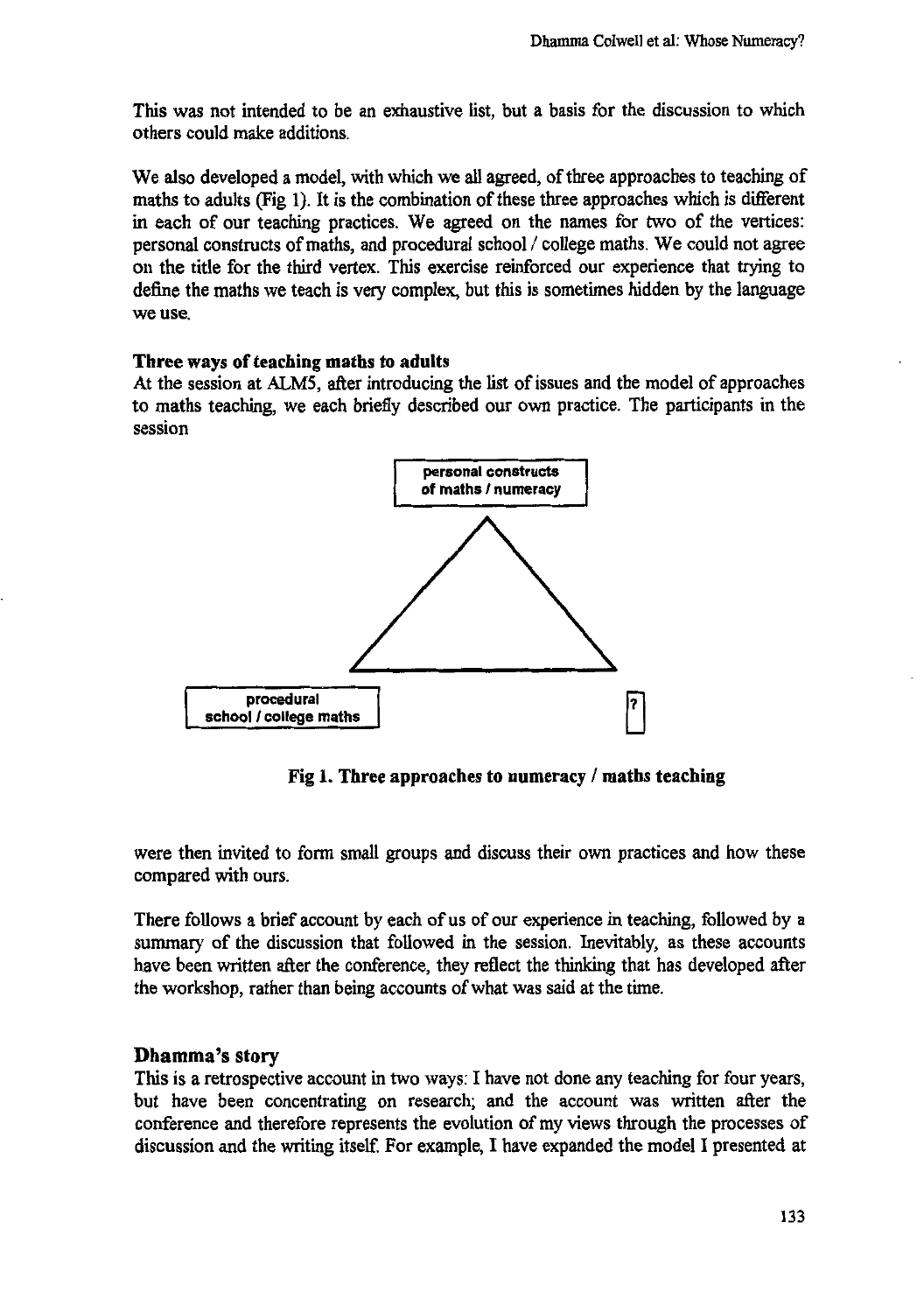**This was not intended to be an exhaustive list, but a basis for the discussion to which others could make additions.**

**We also developed a model, with which we all agreed, of three approaches to teaching of maths to adults (Fig 1). It is the combination of these three approaches which is different in each of our teaching practices. We agreed on the names for two of the vertices: personal constructs of maths, and procedural school / college maths. We could not agree on the title for the third vertex. This exercise reinforced our experience that trying to define the maths we teach is very complex, but this is sometimes hidden by the language we use.**

### **Three ways of teaching maths to adults**

**At the session at ALMS, after introducing the list of issues and the model of approaches to maths teaching, we each briefly described our own practice. The participants in the session**



Fig 1. Three approaches to numeracy / maths teaching

**were then invited to form small groups and discuss their own practices and how these compared with ours.**

**There follows a brief account by each of us of our experience in teaching, followed by a summary of the discussion that followed in the session. Inevitably, as these accounts have been written after the conference, they reflect the thinking that has developed after the workshop, rather than being accounts of what was said at the time.**

## **Dhamma's story**

**This is a retrospective account in two ways: I have not done any teaching for four years, but have been concentrating on research; and the account was written after the conference and therefore represents the evolution of my views through the processes of discussion and the writing itself. For example, I have expanded the model I presented at**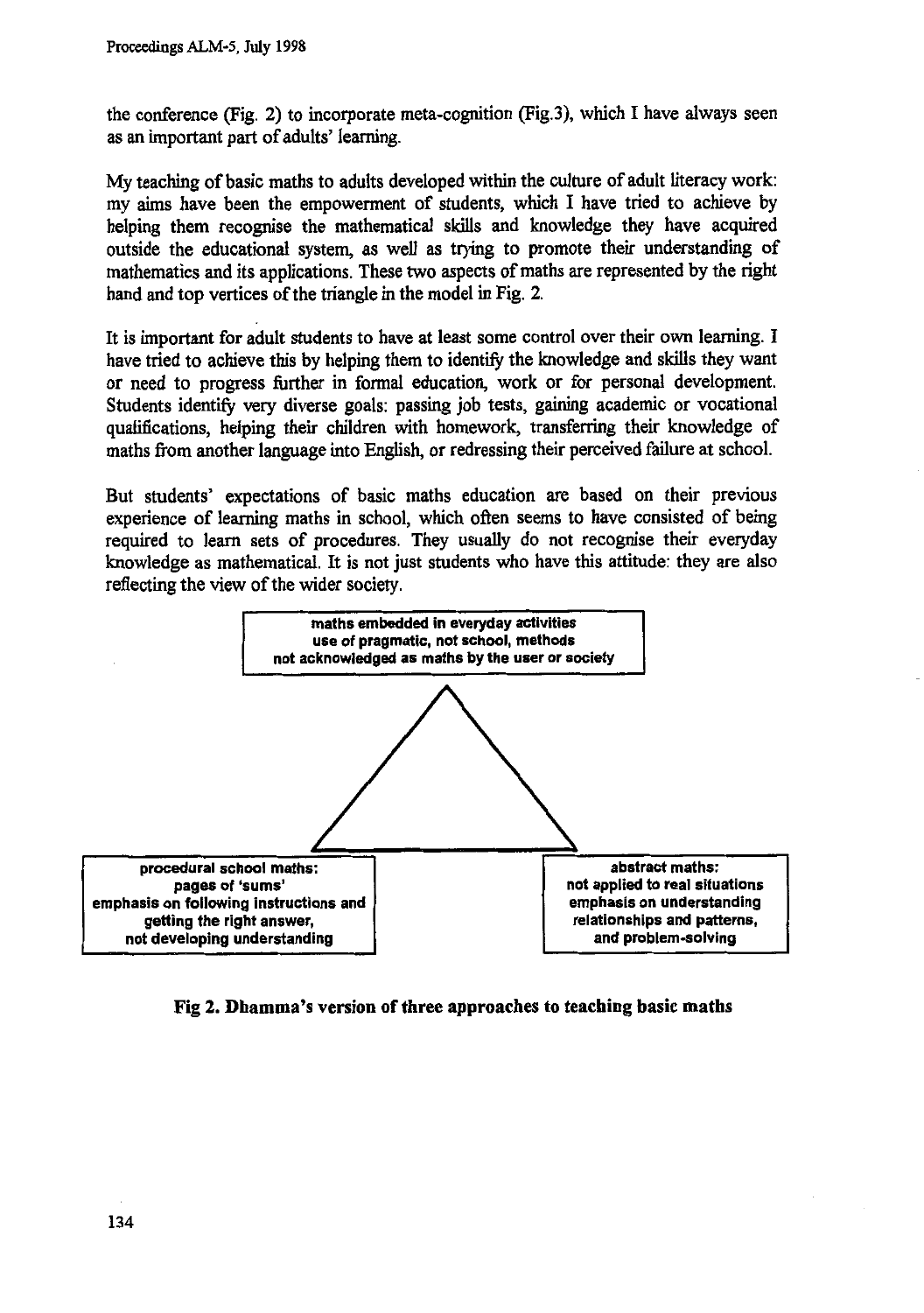**the conference (Fig. 2) to incorporate meta-cognition (Fig.3), which I have always seen as an important part of adults' learning.**

**My teaching of basic maths to adults developed within the culture of adult literacy work: my aims have been the empowerment of students, which I have tried to achieve by helping them recognise the mathematical skills and knowledge they have acquired outside the educational system, as well as trying to promote their understanding of mathematics and its applications. These two aspects of maths are represented by the right hand and top vertices of the triangle in the model in Fig. 2.**

**It is important for adult students to have at least some control over their own learning. I have tried to achieve this by helping them to identify the knowledge and skills they want or need to progress further in formal education, work or for personal development. Students identify very diverse goals: passing job tests, gaining academic or vocational qualifications, helping their children with homework, transferring their knowledge of maths from another language into English, or redressing their perceived failure at school.**

**But students' expectations of basic maths education are based on their previous experience of learning maths in school, which often seems to have consisted of being required to learn sets of procedures. They usually do not recognise their everyday knowledge as mathematical. It is not just students who have this attitude: they are also reflecting the view of the wider society.**



**Fig 2. Dhamma's version of three approaches to teaching basic maths**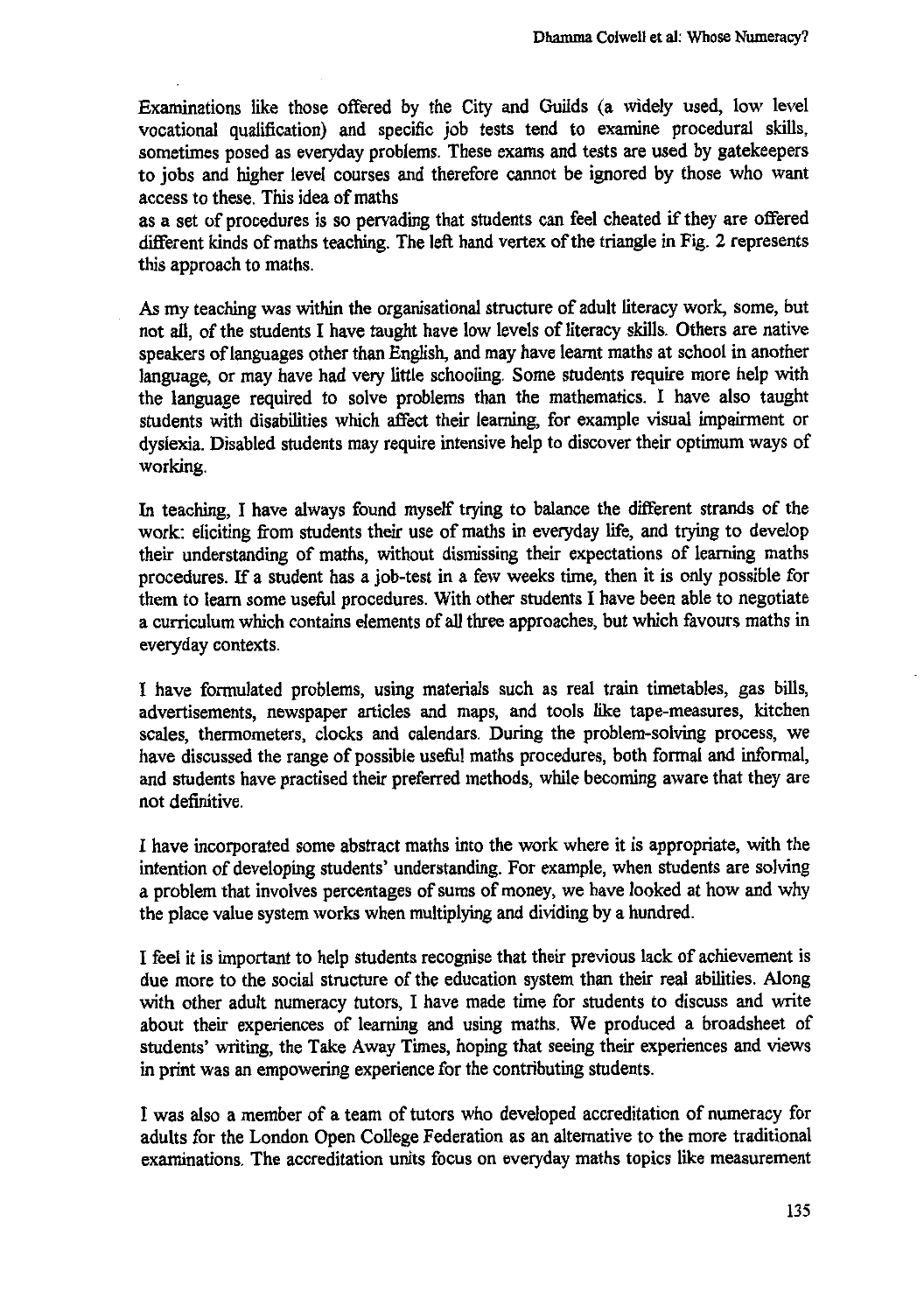Examinations like those offered by the City and Guilds (a widely used, low level vocational qualification) and specific job tests tend to examine procedural skills, sometimes posed as everyday problems. These exams and tests are used by gatekeepers to jobs and higher level courses and therefore cannot be ignored by those who want access to these. This idea of maths

as a set of procedures is so pervading that students can feel cheated if they are offered different kinds of maths teaching. The left hand vertex of the triangle in Fig. 2 represents this approach to maths.

As my teaching was within the organisational structure of adult literacy work, some, but not all, of the students I have taught have low levels of literacy skills. Others are native speakers of languages other than English, and may have learnt maths at school in another language, or may have had very little schooling. Some students require more help with the language required to solve problems than the mathematics. I have also taught students with disabilities which affect their learning, for example visual impairment or dyslexia. Disabled students may require intensive help to discover their optimum ways of working.

In teaching, I have always found myself trying to balance the different strands of the work: eliciting from students their use of maths in everyday life, and trying to develop their understanding of maths, without dismissing their expectations of learning maths procedures. If a student has a job-test in a few weeks time, then it is only possible for them to learn some useful procedures. With other students I have been able to negotiate a curriculum which contains elements of all three approaches, but which favours maths in everyday contexts.

I have formulated problems, using materials such as real train timetables, gas bills, advertisements, newspaper articles and maps, and tools like tape-measures, kitchen scales, thermometers, clocks and calendars. During the problem-solving process, we have discussed the range of possible useful maths procedures, both formal and informal, and students have practised their preferred methods, while becoming aware that they are not definitive.

I have incorporated some abstract maths into the work where it is appropriate, with the intention of developing students' understanding. For example, when students are solving a problem that involves percentages of sums of money, we have looked at how and why the place value system works when multiplying and dividing by a hundred.

I feel it is important to help students recognise that their previous lack of achievement is due more to the social structure of the education system than their real abilities. Along with other adult numeracy tutors, I have made time for students to discuss and write about their experiences of learning and using maths. We produced a broadsheet of students' writing, the Take Away Times, hoping that seeing their experiences and views in print was an empowering experience for the contributing students.

I was also a member of a team of tutors who developed accreditation of numeracy for adults for the London Open College Federation as an alternative to the more traditional examinations. The accreditation units focus on everyday maths topics like measurement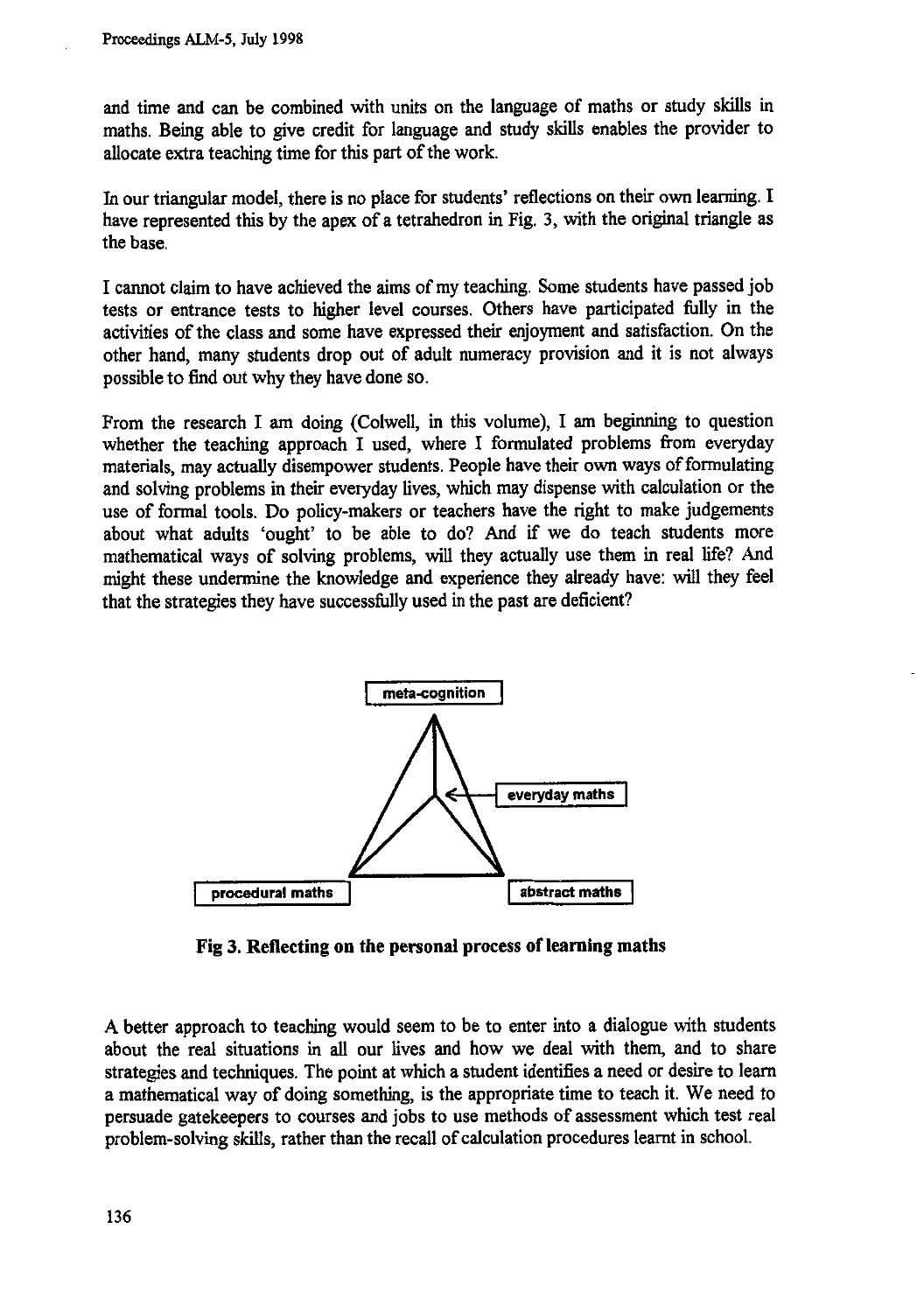and time and can be combined with units on the language of maths or study skills in maths. Being able to give credit for language and study skills enables the provider to allocate extra teaching time for this part of the work.

In our triangular model, there is no place for students' reflections on their own learning. I have represented this by the apex of a tetrahedron in Fig. 3, with the original triangle as the base.

I cannot claim to have achieved the aims of my teaching. Some students have passed job tests or entrance tests to higher level courses. Others have participated fully in the activities of the class and some have expressed their enjoyment and satisfaction. On the other hand, many students drop out of adult numeracy provision and it is not always possible to find out why they have done so.

From the research I am doing (Colwell, in this volume), I am beginning to question whether the teaching approach I used, where I formulated problems from everyday materials, may actually disempower students. People have their own ways of formulating and solving problems in their everyday lives, which may dispense with calculation or the use of formal tools. Do policy-makers or teachers have the right to make judgements about what adults 'ought' to be able to do? And if we do teach students more mathematical ways of solving problems, will they actually use them in real life? And might these undermine the knowledge and experience they already have: will they feel that the strategies they have successfully used in the past are deficient?



**Fig 3. Reflecting on the personal process of learning maths**

A better approach to teaching would seem to be to enter into a dialogue with students about the real situations in all our lives and how we deal with them, and to share strategies and techniques. The point at which a student identifies a need or desire to learn a mathematical way of doing something, is the appropriate time to teach it. We need to persuade gatekeepers to courses and jobs to use methods of assessment which test real problem-solving skills, rather than the recall of calculation procedures learnt in school.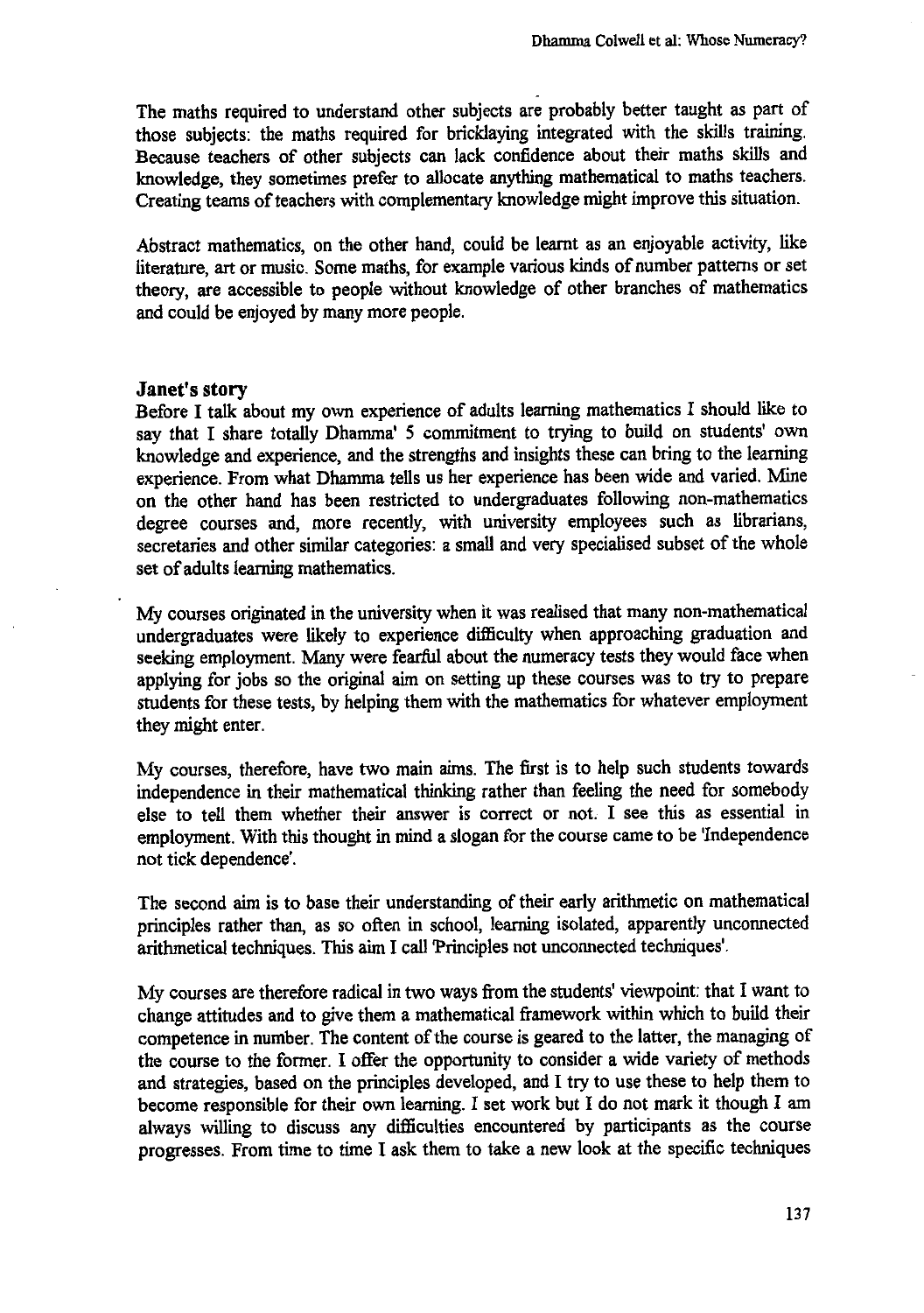The maths required to understand other subjects are probably better taught as part of those subjects: the maths required for bricklaying integrated with the skills training. Because teachers of other subjects can lack confidence about their maths skills and knowledge, they sometimes prefer to allocate anything mathematical to maths teachers. Creating teams of teachers with complementary knowledge might improve this situation.

Abstract mathematics, on the other hand, could be learnt as an enjoyable activity, like literature, art or music. Some maths, for example various kinds of number patterns or set theory, are accessible to people without knowledge of other branches of mathematics and could be enjoyed by many more people.

#### **Janet's story**

Before **I** talk about my own experience of adults learning mathematics I should like to say that I share totally Dhamma' 5 commitment to trying to build on students' own knowledge and experience, and the strengths and insights these can bring to the learning experience. From what Dhamma tells us her experience has been wide and varied. Mine on the other hand has been restricted to undergraduates following non-mathematics degree courses and, more recently, with university employees such as librarians, secretaries and other similar categories: a small and very specialised subset of the whole set of adults learning mathematics.

My courses originated in the university when it was realised that many non-mathematical undergraduates were likely to experience difficulty when approaching graduation and seeking employment. Many were fearful about the numeracy tests they would face when applying for jobs so the original aim on setting up these courses was to try to prepare students for these tests, by helping them with the mathematics for whatever employment they might enter.

My courses, therefore, have two main aims. The first is to help such students towards independence in their mathematical thinking rather than feeling the need for somebody else to tell them whether their answer is correct or not. I see this as essential in employment. With this thought in mind a slogan for the course came to be 'Independence not tick dependence'.

The second aim is to base their understanding of their early arithmetic on mathematical principles rather than, as so often in school, learning isolated, apparently unconnected arithmetical techniques. This aim I call Principles not unconnected techniques'.

My courses are therefore radical in two ways from the students' viewpoint: that I want to change attitudes and to give them a mathematical framework within which to build their competence in number. The content of the course is geared to the latter, the managing of the course to the former. I offer the opportunity to consider a wide variety of methods and strategies, based on the principles developed, and I try to use these to help them to become responsible for their own learning. I set work but I do not mark it though I am always willing to discuss any difficulties encountered by participants as the course progresses. From time to time I ask them to take a new look at the specific techniques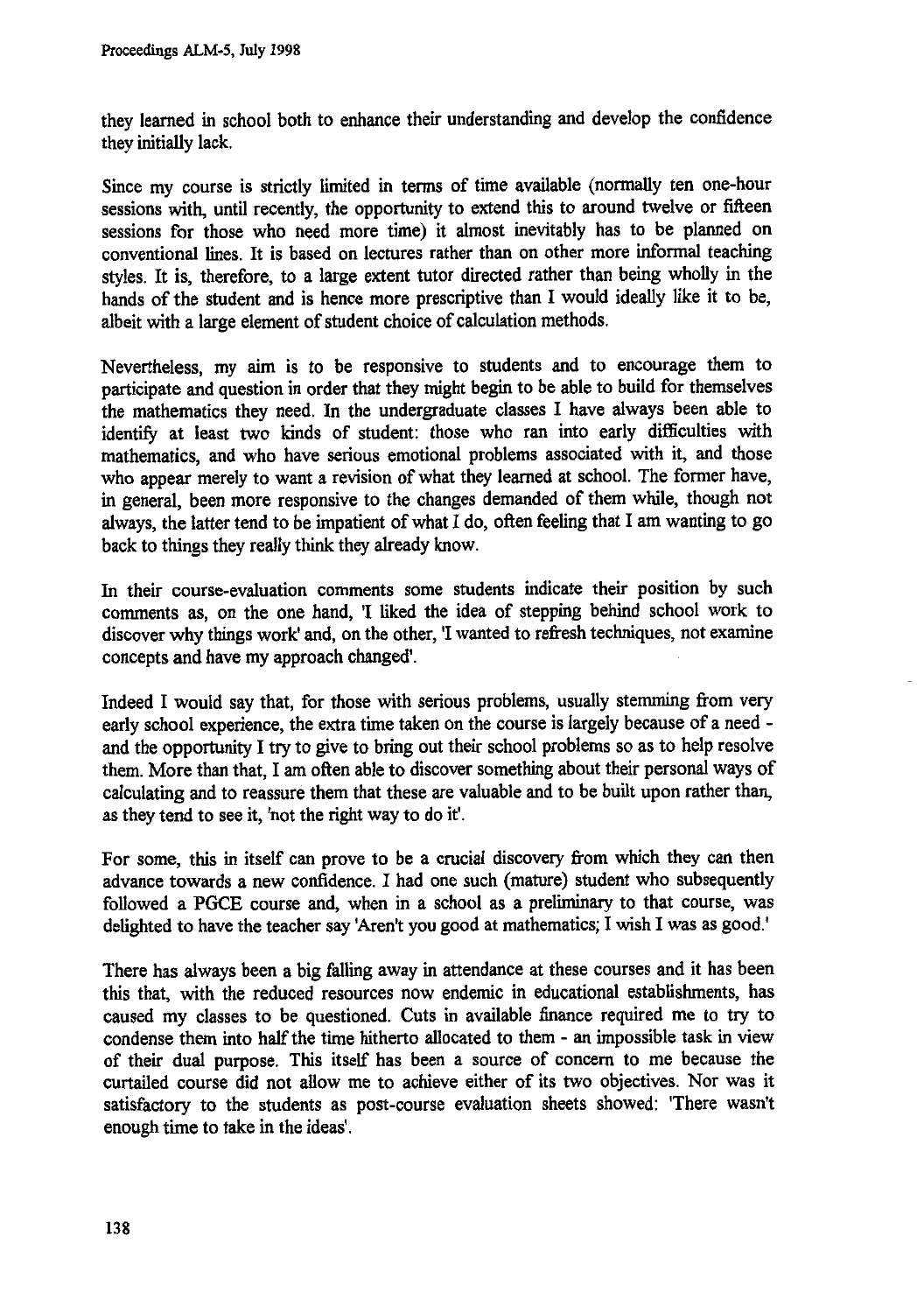**they learned in school both to enhance their understanding and develop the confidence they initially lack.**

**Since my course is strictly limited in terms of time available (normally ten one-hour sessions with, until recently, the opportunity to extend this to around twelve or fifteen sessions for those who need more time) it almost inevitably has to be planned on conventional lines. It is based on lectures rather than on other more informal teaching styles. It is, therefore, to a large extent tutor directed rather than being wholly in the hands of the student and is hence more prescriptive than I would ideally like it to be, albeit with a large element of student choice of calculation methods.**

**Nevertheless, my aim is to be responsive to students and to encourage them to participate and question in order that they might begin to be able to build for themselves the mathematics they need. In the undergraduate classes I have always been able to identify at least two kinds of student: those who ran into early difficulties with mathematics, and who have serious emotional problems associated with it, and those who appear merely to want a revision of what they learned at school. The former have, in general, been more responsive to the changes demanded of them while, though not always, the latter tend to be impatient of what I do, often feeling that I am wanting to go back to things they really think they already know.**

**In their course-evaluation comments some students indicate their position by such comments as, on the one hand, 'I liked the idea of stepping behind school work to discover why things work' and, on the other, 'I wanted to refresh techniques, not examine concepts and have my approach changed'.**

**Indeed I would say that, for those with serious problems, usually stemming from very early school experience, the extra time taken on the course is largely because of a need and the opportunity I try to give to bring out their school problems so as to help resolve them. More than that, I am often able to discover something about their personal ways of calculating and to reassure them that these are valuable and to be built upon rather than, as they tend to see it, 'not the right way to do it'.**

**For some, this in itself can prove to be a crucial discovery from which they can then advance towards a new confidence. I had one such (mature) student who subsequently followed a PGCE course and, when in a school as a preliminary to that course, was delighted to have the teacher say 'Aren't you good at mathematics; I wish I was as good.'**

**There has always been a big falling away in attendance at these courses and it has been this that, with the reduced resources now endemic in educational establishments, has caused my classes to be questioned. Cuts in available finance required me to try to condense them into half the time hitherto allocated to them - an impossible task in view of their dual purpose. This itself has been a source of concern to me because the curtailed course did not allow me to achieve either of its two objectives. Nor was it satisfactory to the students as post-course evaluation sheets showed: 'There wasn't enough time to take in the ideas'.**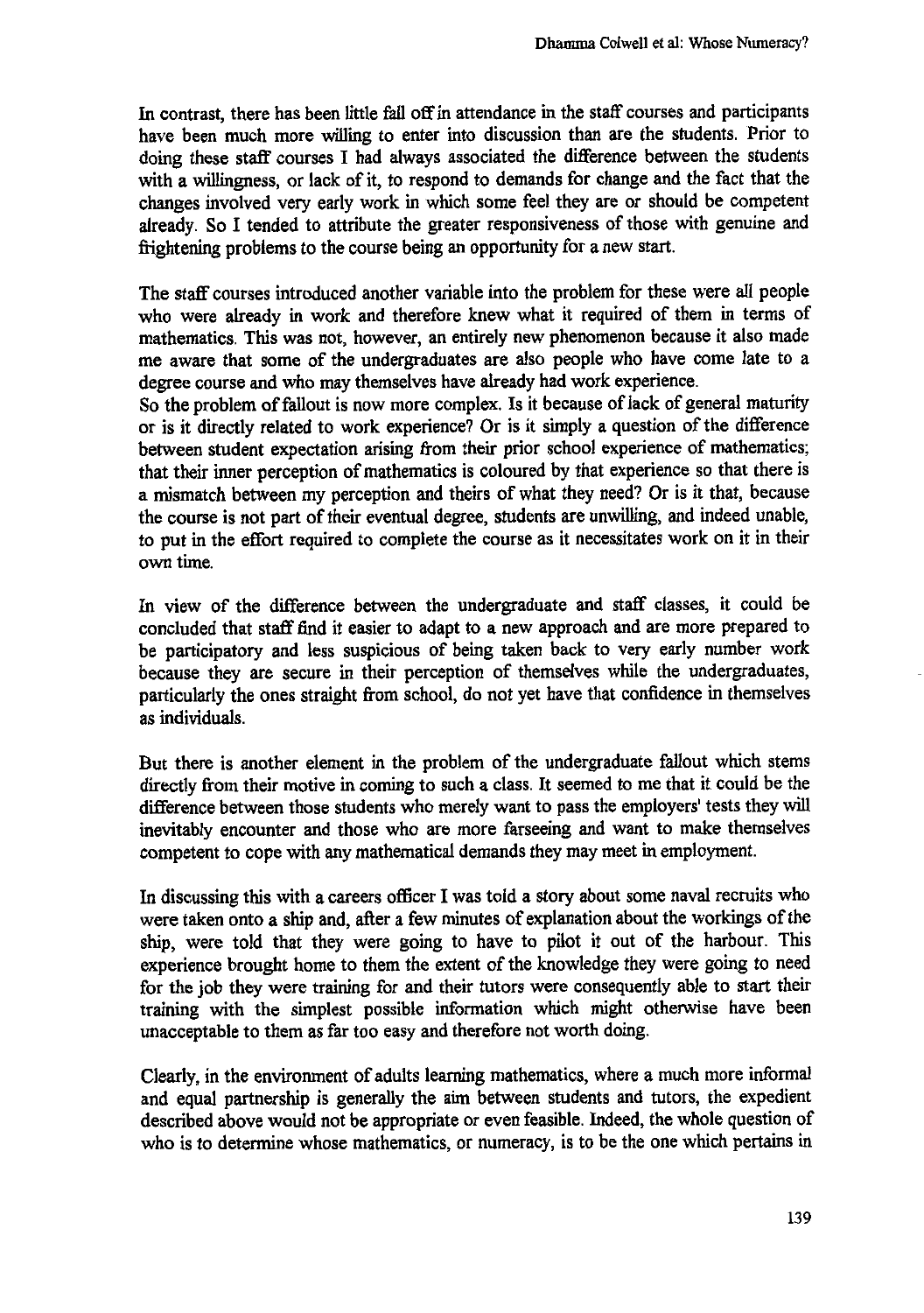**In contrast, there has been little fall off in attendance in the staff courses and participants have been much more willing to enter into discussion than are the students. Prior to doing these staff courses I had always associated the difference between the students with a willingness, or lack of it, to respond to demands for change and the fact that the changes involved very early work in which some feel they are or should be competent already. So I tended to attribute the greater responsiveness of those with genuine and frightening problems to the course being an opportunity for a new start.**

**The staff courses introduced another variable into the problem for these were all people who were already in work and therefore knew what it required of them in terms of mathematics. This was not, however, an entirely new phenomenon because it also made me aware that some of the undergraduates are also people who have come late to a degree course and who may themselves have already had work experience.**

**So the problem of fallout is now more complex. Is it because of lack of general maturity or is it directly related to work experience? Or is it simply a question of the difference between student expectation arising from their prior school experience of mathematics; that their inner perception of mathematics is coloured by that experience so that there is a mismatch between my perception and theirs of what they need? Or is it that, because the course is not part of their eventual degree, students are unwilling, and indeed unable, to put in the effort required to complete the course as it necessitates work on it in their own time.**

**In view of the difference between the undergraduate and staff classes, it could be concluded that staff find it easier to adapt to a new approach and are more prepared to be participatory and less suspicious of being taken back to very early number work because they are secure in their perception of themselves while the undergraduates, particularly the ones straight from school, do not yet have that confidence in themselves as individuals.**

**But there is another element in the problem of the undergraduate fallout which stems directly from their motive in coming to such a class. It seemed to me that it could be the difference between those students who merely want to pass the employers' tests they will inevitably encounter and those who are more farseeing and want to make themselves competent to cope with any mathematical demands they may meet in employment.**

**In discussing this with a careers officer I was told a story about some naval recruits who were taken onto a ship and, after a few minutes of explanation about the workings of the ship, were told that they were going to have to pilot it out of the harbour. This experience brought home to them the extent of the knowledge they were going to need for the job they were training for and their tutors were consequently able to start their training with the simplest possible information which might otherwise have been unacceptable to them as far too easy and therefore not worth doing.**

**Clearly, in the environment of adults learning mathematics, where a much more informal and equal partnership is generally the aim between students and tutors, the expedient described above would not be appropriate or even feasible. Indeed, the whole question of who is to determine whose mathematics, or numeracy, is to be the one which pertains in**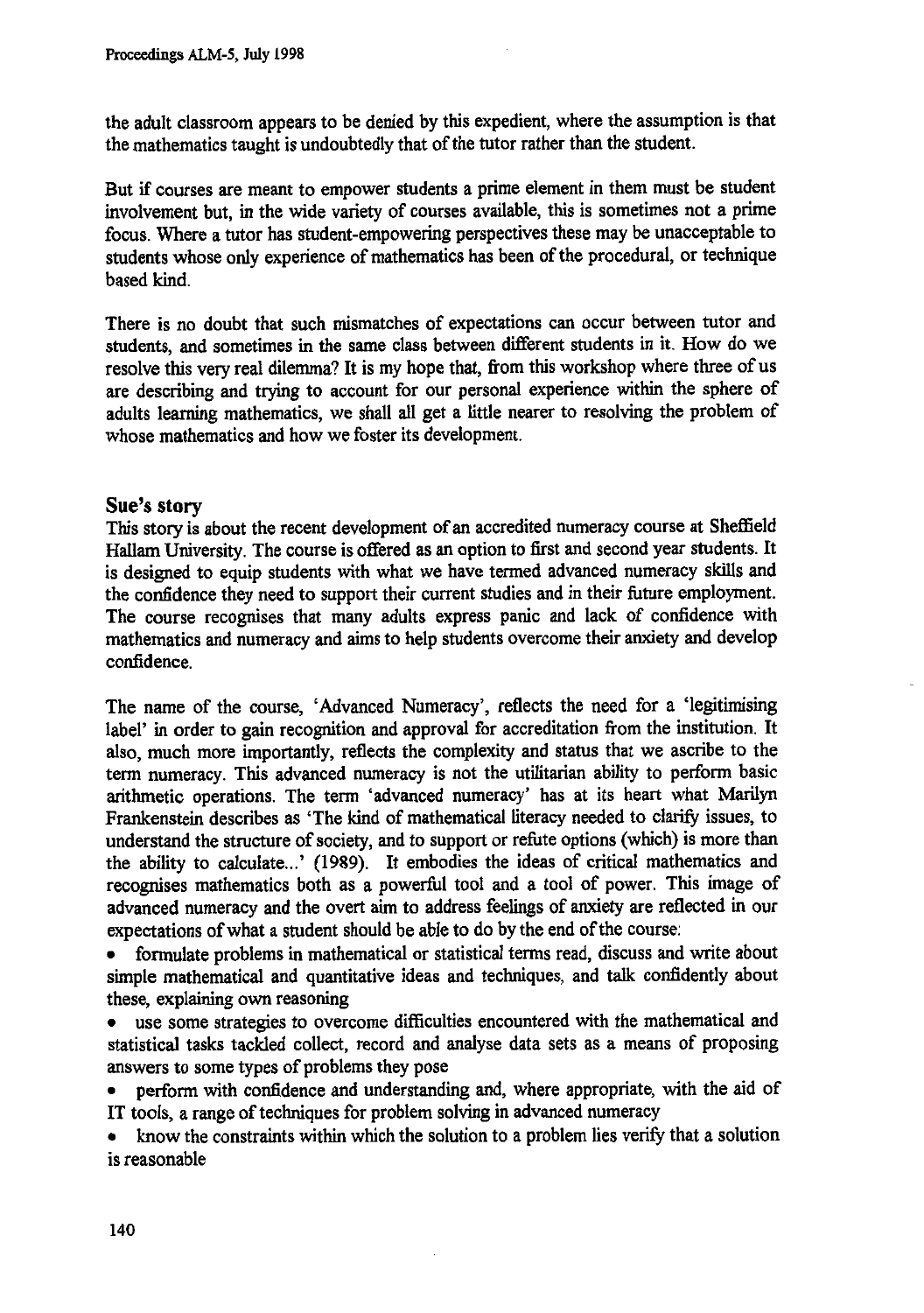**the adult classroom appears to be denied by this expedient, where the assumption is that the mathematics taught is undoubtedly that of the tutor rather than the student.**

**But if courses are meant to empower students a prime element in them must be student involvement but, in the wide variety of courses available, this is sometimes not a prime focus. Where a tutor has student-empowering perspectives these may be unacceptable to students whose only experience of mathematics has been of the procedural, or technique based kind.**

**There is no doubt that such mismatches of expectations can occur between tutor and students, and sometimes in the same class between different students in it. How do we resolve this very real dilemma? It is my hope that, from this workshop where three of us are describing and trying to account for our personal experience within the sphere of adults learning mathematics, we shall all get a little nearer to resolving the problem of whose mathematics and how we foster its development.**

# **Sue's story**

**This story is about the recent development of an accredited numeracy course at Sheffield Hallam University. The course is offered as an option to first and second year students. It is designed to equip students with what we have termed advanced numeracy skills and the confidence they need to support their current studies and in their future employment. The course recognises that many adults express panic and lack of confidence with mathematics and numeracy and aims to help students overcome their anxiety and develop confidence.**

**The name of the course, 'Advanced Numeracy', reflects the need for a 'legitimising label' in order to gain recognition and approval for accreditation from the institution. It also, much more importantly, reflects the complexity and status that we ascribe to the term numeracy. This advanced numeracy is not the utilitarian ability to perform basic arithmetic operations. The term 'advanced numeracy' has at its heart what Marilyn Frankenstein describes as 'The kind of mathematical literacy needed to clarify issues, to understand the structure of society, and to support or refute options (which) is more than the ability to calculate...' (1989). It embodies the ideas of critical mathematics and recognises mathematics both as a powerful tool and a tool of power. This image of advanced numeracy and the overt aim to address feelings of anxiety are reflected in our expectations of what a student should be able to do by the end of the course:**

**• formulate problems in mathematical or statistical terms read, discuss and write about simple mathematical and quantitative ideas and techniques, and talk confidently about these, explaining own reasoning**

**• use some strategies to overcome difficulties encountered with the mathematical and statistical tasks tackled collect, record and analyse data sets as a means of proposing answers to some types of problems they pose**

**• perform with confidence and understanding and, where appropriate, with the aid of IT tools, a range of techniques for problem solving in advanced numeracy**

**• know the constraints within which the solution to a problem lies verify that a solution is reasonable**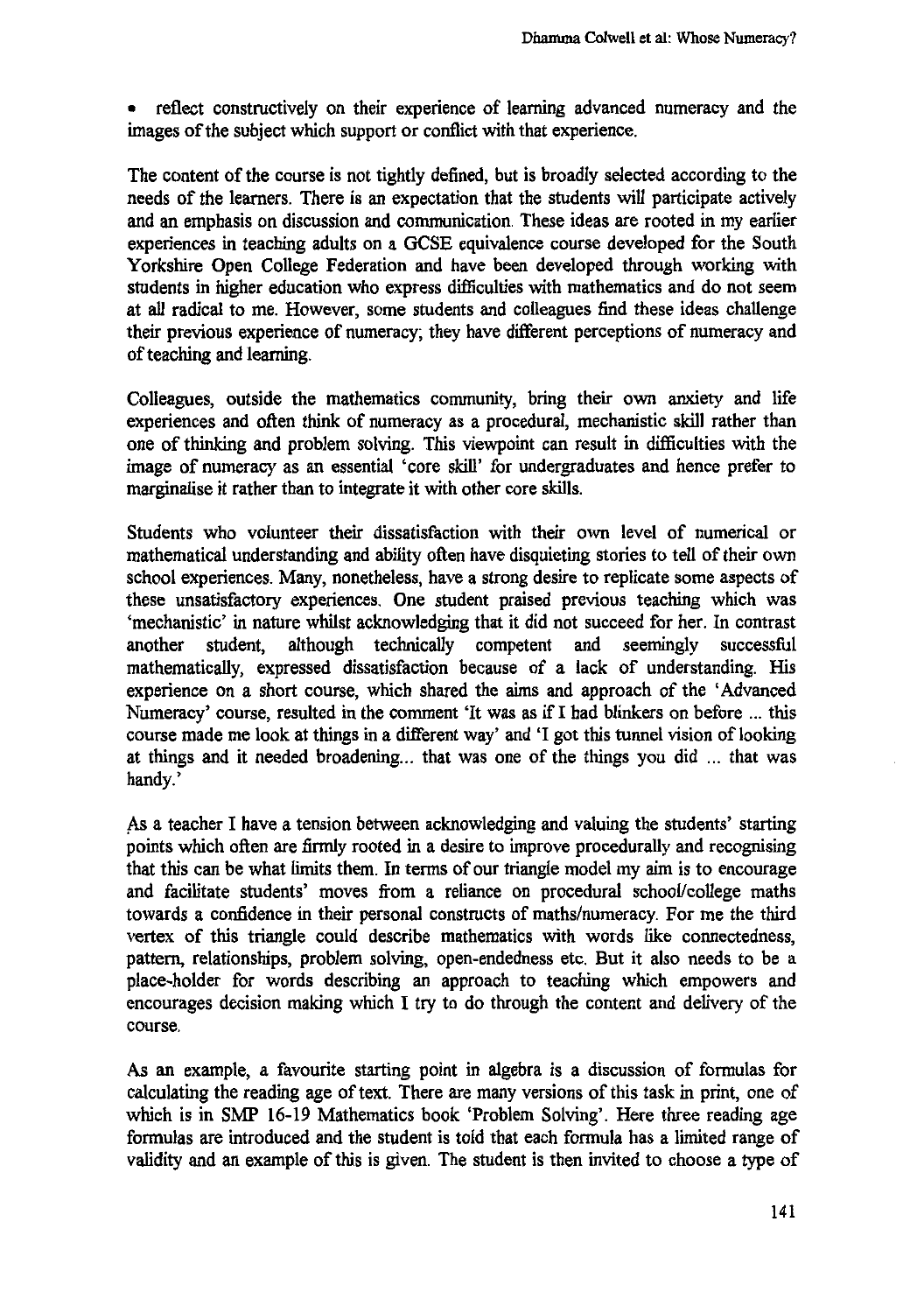• reflect constructively on their experience of learning advanced numeracy and the images of the subject which support or conflict with that experience.

The content of the course is not tightly defined, but is broadly selected according to the needs of the learners. There is an expectation that the students will participate actively and an emphasis on discussion and communication. These ideas are rooted in my earlier experiences in teaching adults on a GCSE equivalence course developed for the South Yorkshire Open College Federation and have been developed through working with students in higher education who express difficulties with mathematics and do not seem at all radical to me. However, some students and colleagues find these ideas challenge their previous experience of numeracy; they have different perceptions of numeracy and of teaching and learning.

Colleagues, outside the mathematics community, bring their own anxiety and life experiences and often think of numeracy as a procedural, mechanistic skill rather than one of thinking and problem solving. This viewpoint can result in difficulties with the image of numeracy as an essential 'core skill' for undergraduates and hence prefer to marginalise it rather than to integrate it with other core skills.

Students who volunteer their dissatisfaction with their own level of numerical or mathematical understanding and ability often have disquieting stories to tell of their own school experiences. Many, nonetheless, have a strong desire to replicate some aspects of these unsatisfactory experiences. One student praised previous teaching which was `mechanistic' in nature whilst acknowledging that it did not succeed for her. In contrast another student, although technically competent and seemingly successful mathematically, expressed dissatisfaction because of a lack of understanding. His experience on a short course, which shared the aims and approach of the 'Advanced Numeracy' course, resulted in the comment 'It was as if I had blinkers on before ... this course made me look at things in a different way' and 'I got this tunnel vision of looking at things and it needed broadening... that was one of the things you did ... that was handy.'

As a teacher I have a tension between acknowledging and valuing the students' starting points which often are firmly rooted in a desire to improve procedurally and recognising that this can be what limits them. In terms of our triangle model my aim is to encourage and facilitate students' moves from a reliance on procedural school/college maths towards a confidence in their personal constructs of maths/numeracy. For me the third vertex of this triangle could describe mathematics with words like connectedness, pattern, relationships, problem solving, open-endedness etc. But it also needs to be a place-holder for words describing an approach to teaching which empowers and encourages decision making which I try to do through the content and delivery of the course.

As an example, a favourite starting point in algebra is a discussion of formulas for calculating the reading age of text. There are many versions of this task in print, one of which is in SMP 16-19 Mathematics book Problem Solving'. Here three reading age formulas are introduced and the student is told that each formula has a limited range of validity and an example of this is given. The student is then invited to choose a type of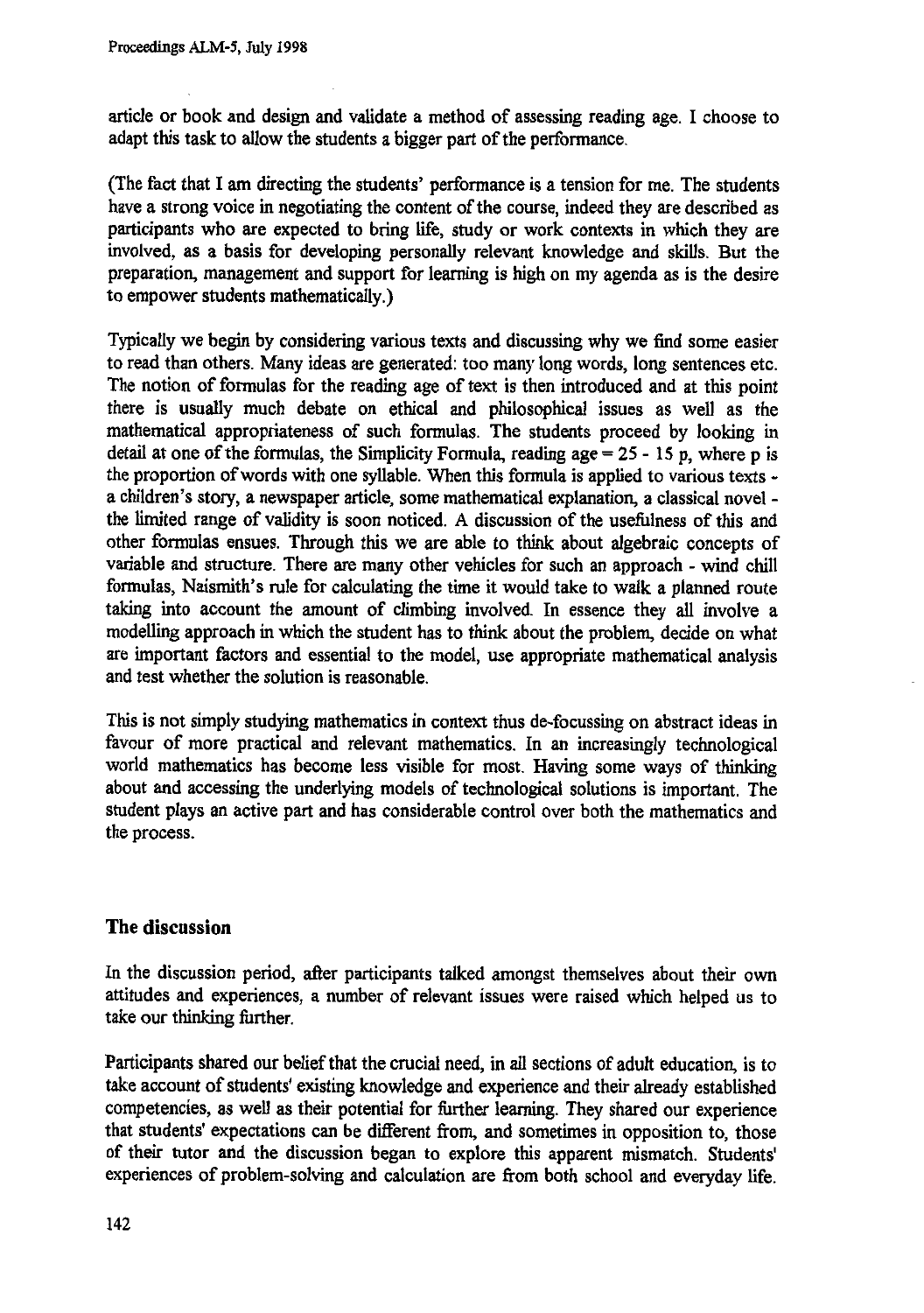**article or book and design and validate a method of assessing reading age. I choose to adapt this task to allow the students a bigger part of the performance.**

**(The fact that I am directing the students' performance is a tension for me. The students have a strong voice in negotiating the content of the course, indeed they are described as participants who are expected to bring life, study or work contexts in which they are involved, as a basis for developing personally relevant knowledge and skills. But the preparation, management and support for learning is high on my agenda as is the desire to empower students mathematically.)**

**Typically we begin by considering various texts and discussing why we find some easier to read than others. Many ideas are generated: too many long words, long sentences etc. The notion of formulas for the reading age of text is then introduced and at this point there is usually much debate on ethical and philosophical issues as well as the mathematical appropriateness of such formulas. The students proceed by looking in detail at one of the formulas, the Simplicity Formula, reading age =** 25 - 15 **p, where p is the proportion of words with one syllable. When this formula is applied to various texts a children's story, a newspaper article, some mathematical explanation, a classical novel the limited range of validity is soon noticed. A discussion of the usefulness of this and other formulas ensues. Through this we are able to think about algebraic concepts of variable and structure. There are many other vehicles for such an approach - wind chill formulas, Naismith's rule for calculating the time it would take to walk a planned route taking into account the amount of climbing involved. In essence they all involve a modelling approach in which the student has to think about the problem, decide on what are important factors and essential to the model, use appropriate mathematical analysis and test whether the solution is reasonable.**

**This is not simply studying mathematics in context thus de-focussing on abstract ideas in favour of more practical and relevant mathematics. In an increasingly technological world mathematics has become less visible for most. Having some ways of thinking about and accessing the underlying models of technological solutions is important. The student plays an active part and has considerable control over both the mathematics and the process.**

## **The discussion**

**In the discussion period, after participants talked amongst themselves about their own attitudes and experiences, a number of relevant issues were raised which helped us to take our thinking further.**

**Participants shared our belief that the crucial need, in all sections of adult education, is to take account of students' existing knowledge and experience and their already established competencies, as well as their potential for further learning. They shared our experience that students' expectations can be different from, and sometimes in opposition to, those of their tutor and the discussion began to explore this apparent mismatch. Students' experiences of problem-solving and calculation are from both school and everyday life.**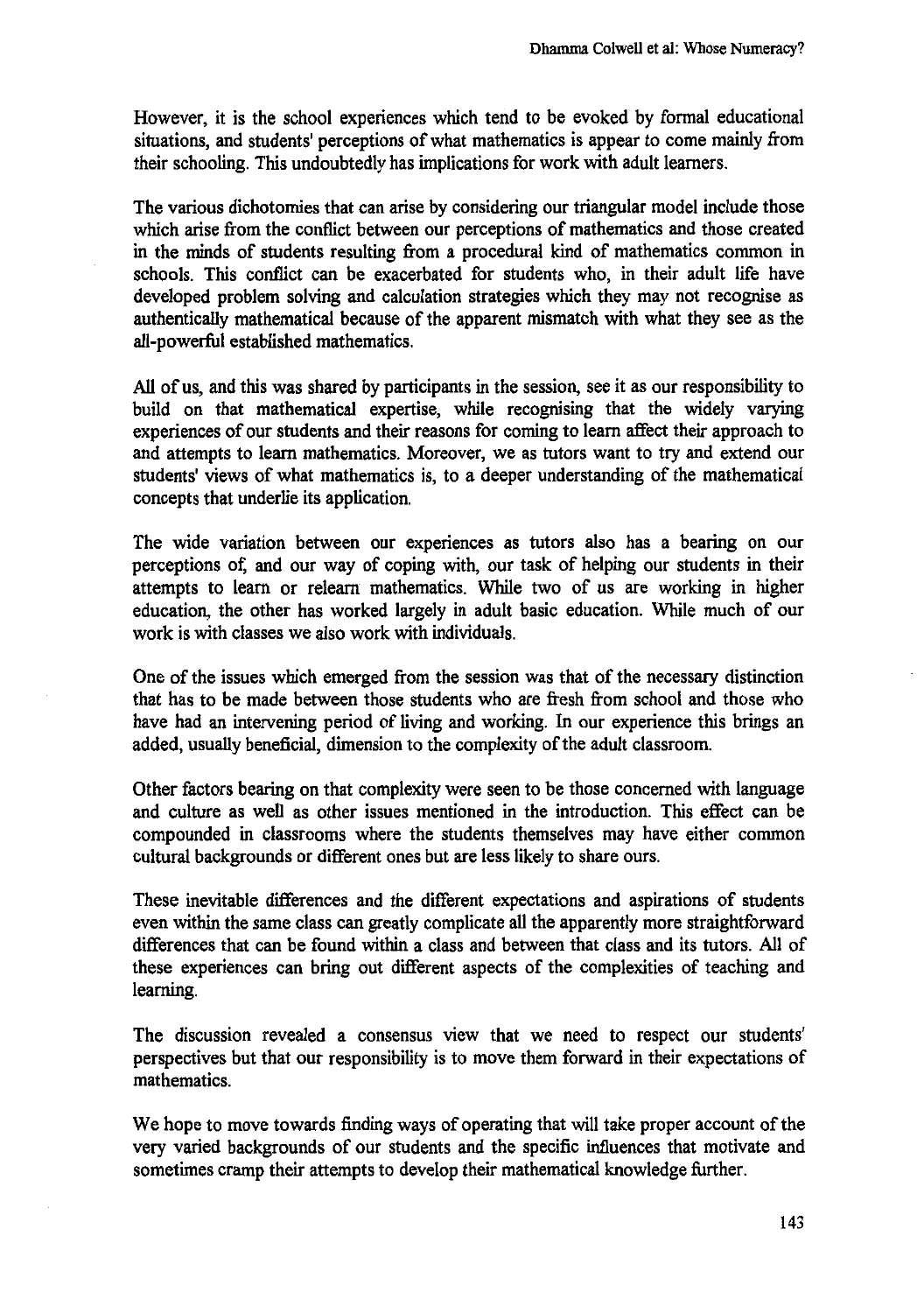**However, it is the school experiences which tend to be evoked by formal educational situations, and students' perceptions of what mathematics is appear to come mainly from their schooling. This undoubtedly has implications for work with adult learners.**

**The various dichotomies that can arise by considering our triangular model include those which arise from the conflict between our perceptions of mathematics and those created in the minds of students resulting from a procedural kind of mathematics common in schools. This conflict can be exacerbated for students who, in their adult life have developed problem solving and calculation strategies which they may not recognise as authentically mathematical because of the apparent mismatch with what they see as the all-powerful established mathematics.**

**All of us, and this was shared by participants in the session, see it as our responsibility to build on that mathematical expertise, while recognising that the widely varying experiences of our students and their reasons for coming to learn affect their approach to and attempts to learn mathematics. Moreover, we as tutors want to try and extend our students' views of what mathematics is, to a deeper understanding of the mathematical concepts that underlie its application.**

**The wide variation between our experiences as tutors also has a bearing on our perceptions of; and our way of coping with, our task of helping our students in their attempts to learn or relearn mathematics. While two of us are working in higher education, the other has worked largely in adult basic education. While much of our work is with classes we also work with individuals.**

**One of the issues which emerged from the session was that of the necessary distinction that has to be made between those students who are fresh from school and those who have had an intervening period of living and working. In our experience this brings an added, usually beneficial, dimension to the complexity of the adult classroom.**

**Other factors bearing on that complexity were seen to be those concerned with language and culture as well as other issues mentioned in the introduction. This effect can be compounded in classrooms where the students themselves may have either common cultural backgrounds or different ones but are less likely to share ours.**

**These inevitable differences and the different expectations and aspirations of students even within the same class can greatly complicate all the apparently more straightforward differences that can be found within a class and between that class and its tutors. All of these experiences can bring out different aspects of the complexities of teaching and learning.**

**The discussion revealed a consensus view that we need to respect our students' perspectives but that our responsibility is to move them forward in their expectations of mathematics.**

**We hope to move towards finding ways of operating that will take proper account of the very varied backgrounds of our students and the specific influences that motivate and sometimes cramp their attempts to develop their mathematical knowledge further.**